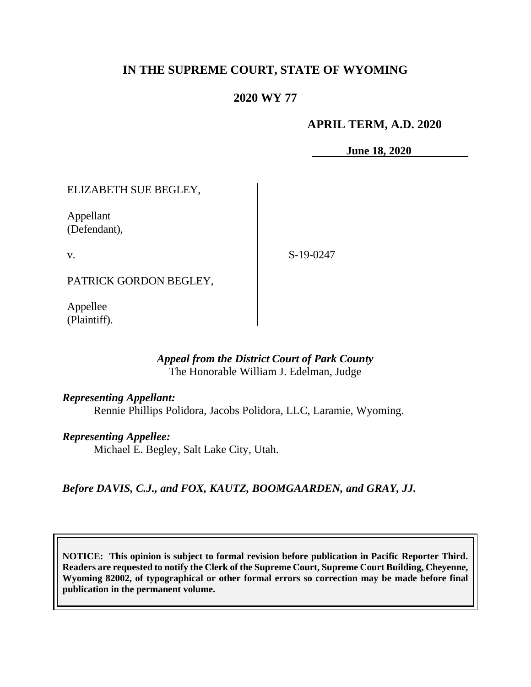## **IN THE SUPREME COURT, STATE OF WYOMING**

## **2020 WY 77**

#### **APRIL TERM, A.D. 2020**

**June 18, 2020**

### ELIZABETH SUE BEGLEY,

Appellant (Defendant),

v.

S-19-0247

PATRICK GORDON BEGLEY,

Appellee (Plaintiff).

#### *Appeal from the District Court of Park County* The Honorable William J. Edelman, Judge

#### *Representing Appellant:*

Rennie Phillips Polidora, Jacobs Polidora, LLC, Laramie, Wyoming.

#### *Representing Appellee:*

Michael E. Begley, Salt Lake City, Utah.

*Before DAVIS, C.J., and FOX, KAUTZ, BOOMGAARDEN, and GRAY, JJ.*

**NOTICE: This opinion is subject to formal revision before publication in Pacific Reporter Third. Readers are requested to notify the Clerk of the Supreme Court, Supreme Court Building, Cheyenne, Wyoming 82002, of typographical or other formal errors so correction may be made before final publication in the permanent volume.**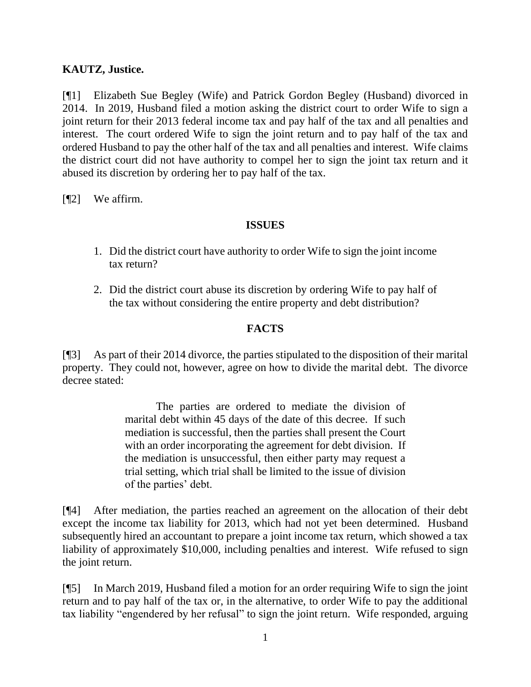## **KAUTZ, Justice.**

[¶1] Elizabeth Sue Begley (Wife) and Patrick Gordon Begley (Husband) divorced in 2014. In 2019, Husband filed a motion asking the district court to order Wife to sign a joint return for their 2013 federal income tax and pay half of the tax and all penalties and interest. The court ordered Wife to sign the joint return and to pay half of the tax and ordered Husband to pay the other half of the tax and all penalties and interest. Wife claims the district court did not have authority to compel her to sign the joint tax return and it abused its discretion by ordering her to pay half of the tax.

[¶2] We affirm.

### **ISSUES**

- 1. Did the district court have authority to order Wife to sign the joint income tax return?
- 2. Did the district court abuse its discretion by ordering Wife to pay half of the tax without considering the entire property and debt distribution?

## **FACTS**

[¶3] As part of their 2014 divorce, the parties stipulated to the disposition of their marital property. They could not, however, agree on how to divide the marital debt. The divorce decree stated:

> The parties are ordered to mediate the division of marital debt within 45 days of the date of this decree. If such mediation is successful, then the parties shall present the Court with an order incorporating the agreement for debt division. If the mediation is unsuccessful, then either party may request a trial setting, which trial shall be limited to the issue of division of the parties' debt.

[¶4] After mediation, the parties reached an agreement on the allocation of their debt except the income tax liability for 2013, which had not yet been determined. Husband subsequently hired an accountant to prepare a joint income tax return, which showed a tax liability of approximately \$10,000, including penalties and interest. Wife refused to sign the joint return.

[¶5] In March 2019, Husband filed a motion for an order requiring Wife to sign the joint return and to pay half of the tax or, in the alternative, to order Wife to pay the additional tax liability "engendered by her refusal" to sign the joint return. Wife responded, arguing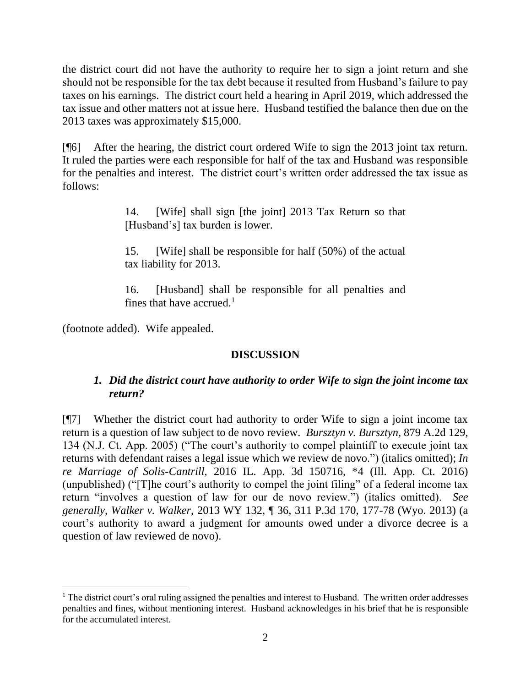the district court did not have the authority to require her to sign a joint return and she should not be responsible for the tax debt because it resulted from Husband's failure to pay taxes on his earnings. The district court held a hearing in April 2019, which addressed the tax issue and other matters not at issue here. Husband testified the balance then due on the 2013 taxes was approximately \$15,000.

[¶6] After the hearing, the district court ordered Wife to sign the 2013 joint tax return. It ruled the parties were each responsible for half of the tax and Husband was responsible for the penalties and interest. The district court's written order addressed the tax issue as follows:

> 14. [Wife] shall sign [the joint] 2013 Tax Return so that [Husband's] tax burden is lower.

> 15. [Wife] shall be responsible for half (50%) of the actual tax liability for 2013.

> 16. [Husband] shall be responsible for all penalties and fines that have accrued. $<sup>1</sup>$ </sup>

(footnote added). Wife appealed.

# **DISCUSSION**

# *1. Did the district court have authority to order Wife to sign the joint income tax return?*

[¶7] Whether the district court had authority to order Wife to sign a joint income tax return is a question of law subject to de novo review. *Bursztyn v. Bursztyn,* 879 A.2d 129, 134 (N.J. Ct. App. 2005) ("The court's authority to compel plaintiff to execute joint tax returns with defendant raises a legal issue which we review de novo.") (italics omitted); *In re Marriage of Solis-Cantrill,* 2016 IL. App. 3d 150716, \*4 (Ill. App. Ct. 2016) (unpublished) ("[T]he court's authority to compel the joint filing" of a federal income tax return "involves a question of law for our de novo review.") (italics omitted). *See generally, Walker v. Walker,* 2013 WY 132, ¶ 36, 311 P.3d 170, 177-78 (Wyo. 2013) (a court's authority to award a judgment for amounts owed under a divorce decree is a question of law reviewed de novo).

 $<sup>1</sup>$  The district court's oral ruling assigned the penalties and interest to Husband. The written order addresses</sup> penalties and fines, without mentioning interest. Husband acknowledges in his brief that he is responsible for the accumulated interest.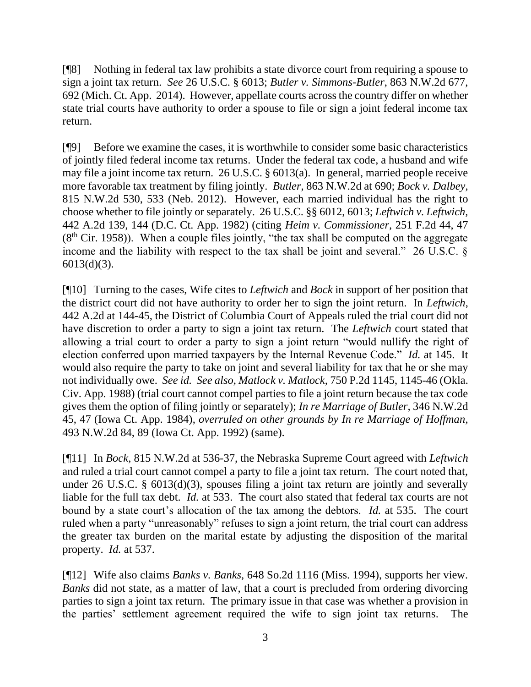[¶8] Nothing in federal tax law prohibits a state divorce court from requiring a spouse to sign a joint tax return. *See* 26 U.S.C. § 6013; *Butler v. Simmons-Butler*, 863 N.W.2d 677, 692 (Mich. Ct. App. 2014). However, appellate courts across the country differ on whether state trial courts have authority to order a spouse to file or sign a joint federal income tax return.

[¶9] Before we examine the cases, it is worthwhile to consider some basic characteristics of jointly filed federal income tax returns. Under the federal tax code, a husband and wife may file a joint income tax return. 26 U.S.C. § 6013(a). In general, married people receive more favorable tax treatment by filing jointly. *Butler*, 863 N.W.2d at 690; *Bock v. Dalbey,*  815 N.W.2d 530, 533 (Neb. 2012). However, each married individual has the right to choose whether to file jointly or separately. 26 U.S.C. §§ 6012, 6013; *Leftwich v. Leftwich,*  442 A.2d 139, 144 (D.C. Ct. App. 1982) (citing *Heim v. Commissioner,* 251 F.2d 44, 47  $(8<sup>th</sup> Cir. 1958)$ . When a couple files jointly, "the tax shall be computed on the aggregate income and the liability with respect to the tax shall be joint and several." 26 U.S.C. § 6013(d)(3).

[¶10] Turning to the cases, Wife cites to *Leftwich* and *Bock* in support of her position that the district court did not have authority to order her to sign the joint return. In *Leftwich*, 442 A.2d at 144-45, the District of Columbia Court of Appeals ruled the trial court did not have discretion to order a party to sign a joint tax return. The *Leftwich* court stated that allowing a trial court to order a party to sign a joint return "would nullify the right of election conferred upon married taxpayers by the Internal Revenue Code." *Id.* at 145. It would also require the party to take on joint and several liability for tax that he or she may not individually owe. *See id. See also, Matlock v. Matlock,* 750 P.2d 1145, 1145-46 (Okla. Civ. App. 1988) (trial court cannot compel parties to file a joint return because the tax code gives them the option of filing jointly or separately); *In re Marriage of Butler,* 346 N.W.2d 45, 47 (Iowa Ct. App. 1984), *overruled on other grounds by In re Marriage of Hoffman,*  493 N.W.2d 84, 89 (Iowa Ct. App. 1992) (same).

[¶11] In *Bock,* 815 N.W.2d at 536-37, the Nebraska Supreme Court agreed with *Leftwich*  and ruled a trial court cannot compel a party to file a joint tax return. The court noted that, under 26 U.S.C. § 6013(d)(3), spouses filing a joint tax return are jointly and severally liable for the full tax debt. *Id.* at 533. The court also stated that federal tax courts are not bound by a state court's allocation of the tax among the debtors. *Id.* at 535. The court ruled when a party "unreasonably" refuses to sign a joint return, the trial court can address the greater tax burden on the marital estate by adjusting the disposition of the marital property. *Id.* at 537.

[¶12] Wife also claims *Banks v. Banks,* 648 So.2d 1116 (Miss. 1994), supports her view. *Banks* did not state, as a matter of law, that a court is precluded from ordering divorcing parties to sign a joint tax return. The primary issue in that case was whether a provision in the parties' settlement agreement required the wife to sign joint tax returns. The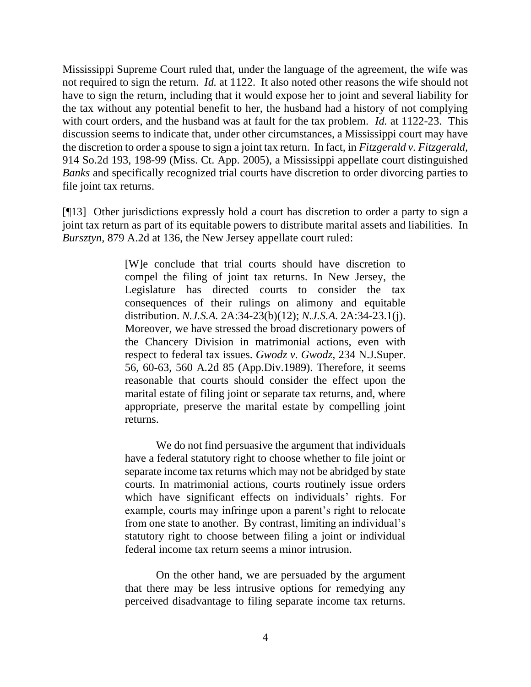Mississippi Supreme Court ruled that, under the language of the agreement, the wife was not required to sign the return. *Id.* at 1122. It also noted other reasons the wife should not have to sign the return, including that it would expose her to joint and several liability for the tax without any potential benefit to her, the husband had a history of not complying with court orders, and the husband was at fault for the tax problem. *Id.* at 1122-23. This discussion seems to indicate that, under other circumstances, a Mississippi court may have the discretion to order a spouse to sign a joint tax return. In fact, in *Fitzgerald v. Fitzgerald,*  914 So.2d 193, 198-99 (Miss. Ct. App. 2005), a Mississippi appellate court distinguished *Banks* and specifically recognized trial courts have discretion to order divorcing parties to file joint tax returns.

[¶13] Other jurisdictions expressly hold a court has discretion to order a party to sign a joint tax return as part of its equitable powers to distribute marital assets and liabilities. In *Bursztyn,* 879 A.2d at 136, the New Jersey appellate court ruled:

> [W]e conclude that trial courts should have discretion to compel the filing of joint tax returns. In New Jersey, the Legislature has directed courts to consider the tax consequences of their rulings on alimony and equitable distribution. *N.J.S.A.* [2A:34-23\(b\)\(12\);](http://www.westlaw.com/Link/Document/FullText?findType=L&pubNum=1000045&cite=NJST2A%3a34-23&originatingDoc=I9d238785fabb11d99439b076ef9ec4de&refType=LQ&originationContext=document&vr=3.0&rs=cblt1.0&transitionType=DocumentItem&contextData=(sc.UserEnteredCitation)) *N.J.S.A.* [2A:34-23.1\(j\).](http://www.westlaw.com/Link/Document/FullText?findType=L&pubNum=1000045&cite=NJST2A%3a34-23.1&originatingDoc=I9d238785fabb11d99439b076ef9ec4de&refType=LQ&originationContext=document&vr=3.0&rs=cblt1.0&transitionType=DocumentItem&contextData=(sc.UserEnteredCitation)) Moreover, we have stressed the broad discretionary powers of the Chancery Division in matrimonial actions, even with respect to federal tax issues. *[Gwodz v. Gwodz,](http://www.westlaw.com/Link/Document/FullText?findType=Y&serNum=1989107243&pubNum=0000590&originatingDoc=I9d238785fabb11d99439b076ef9ec4de&refType=RP&fi=co_pp_sp_590_60&originationContext=document&vr=3.0&rs=cblt1.0&transitionType=DocumentItem&contextData=(sc.UserEnteredCitation)#co_pp_sp_590_60)* 234 N.J.Super. 56, 60-63, 560 A*.*[2d 85 \(App.Div.1989\).](http://www.westlaw.com/Link/Document/FullText?findType=Y&serNum=1989107243&pubNum=0000590&originatingDoc=I9d238785fabb11d99439b076ef9ec4de&refType=RP&fi=co_pp_sp_590_60&originationContext=document&vr=3.0&rs=cblt1.0&transitionType=DocumentItem&contextData=(sc.UserEnteredCitation)#co_pp_sp_590_60) Therefore, it seems reasonable that courts should consider the effect upon the marital estate of filing joint or separate tax returns, and, where appropriate, preserve the marital estate by compelling joint returns.

> We do not find persuasive the argument that individuals have a federal statutory right to choose whether to file joint or separate income tax returns which may not be abridged by state courts. In matrimonial actions, courts routinely issue orders which have significant effects on individuals' rights. For example, courts may infringe upon a parent's right to relocate from one state to another. By contrast, limiting an individual's statutory right to choose between filing a joint or individual federal income tax return seems a minor intrusion.

> On the other hand, we are persuaded by the argument that there may be less intrusive options for remedying any perceived disadvantage to filing separate income tax returns.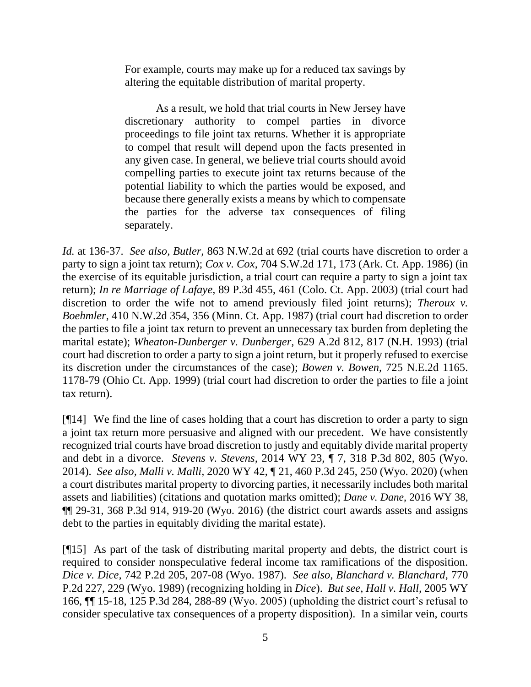For example, courts may make up for a reduced tax savings by altering the equitable distribution of marital property.

As a result, we hold that trial courts in New Jersey have discretionary authority to compel parties in divorce proceedings to file joint tax returns. Whether it is appropriate to compel that result will depend upon the facts presented in any given case. In general, we believe trial courts should avoid compelling parties to execute joint tax returns because of the potential liability to which the parties would be exposed, and because there generally exists a means by which to compensate the parties for the adverse tax consequences of filing separately.

*Id.* at 136-37. *See also, Butler,* 863 N.W.2d at 692 (trial courts have discretion to order a party to sign a joint tax return); *Cox v. Cox,* 704 S.W.2d 171, 173 (Ark. Ct. App. 1986) (in the exercise of its equitable jurisdiction, a trial court can require a party to sign a joint tax return); *In re Marriage of Lafaye,* 89 P.3d 455, 461 (Colo. Ct. App. 2003) (trial court had discretion to order the wife not to amend previously filed joint returns); *Theroux v. Boehmler,* 410 N.W.2d 354, 356 (Minn. Ct. App. 1987) (trial court had discretion to order the parties to file a joint tax return to prevent an unnecessary tax burden from depleting the marital estate); *Wheaton-Dunberger v. Dunberger,* 629 A.2d 812, 817 (N.H. 1993) (trial court had discretion to order a party to sign a joint return, but it properly refused to exercise its discretion under the circumstances of the case); *Bowen v. Bowen,* 725 N.E.2d 1165. 1178-79 (Ohio Ct. App. 1999) (trial court had discretion to order the parties to file a joint tax return).

[¶14] We find the line of cases holding that a court has discretion to order a party to sign a joint tax return more persuasive and aligned with our precedent. We have consistently recognized trial courts have broad discretion to justly and equitably divide marital property and debt in a divorce. *Stevens v. Stevens,* 2014 WY 23, ¶ 7, 318 P.3d 802, 805 (Wyo. 2014). *See also, Malli v. Malli,* 2020 WY 42, ¶ 21, 460 P.3d 245, 250 (Wyo. 2020) (when a court distributes marital property to divorcing parties, it necessarily includes both marital assets and liabilities) (citations and quotation marks omitted); *Dane v. Dane*[, 2016 WY 38,](https://1.next.westlaw.com/Link/Document/FullText?findType=Y&serNum=2038477069&pubNum=0004645&originatingDoc=Ibf1578d06e3c11eab9598d2db129301e&refType=RP&fi=co_pp_sp_4645_920&originationContext=document&transitionType=DocumentItem&contextData=(sc.Search)#co_pp_sp_4645_920)  [¶¶ 29-31, 368 P.3d 914, 919-20 \(Wyo. 2016\)](https://1.next.westlaw.com/Link/Document/FullText?findType=Y&serNum=2038477069&pubNum=0004645&originatingDoc=Ibf1578d06e3c11eab9598d2db129301e&refType=RP&fi=co_pp_sp_4645_920&originationContext=document&transitionType=DocumentItem&contextData=(sc.Search)#co_pp_sp_4645_920) (the district court awards assets and assigns debt to the parties in equitably dividing the marital estate).

[¶15] As part of the task of distributing marital property and debts, the district court is required to consider nonspeculative federal income tax ramifications of the disposition. *Dice v. Dice,* 742 P.2d 205, 207-08 (Wyo. 1987). *See also, Blanchard v. Blanchard,* 770 P.2d 227, 229 (Wyo. 1989) (recognizing holding in *Dice*). *But see, Hall v. Hall,* 2005 WY 166, ¶¶ 15-18, 125 P.3d 284, 288-89 (Wyo. 2005) (upholding the district court's refusal to consider speculative tax consequences of a property disposition). In a similar vein, courts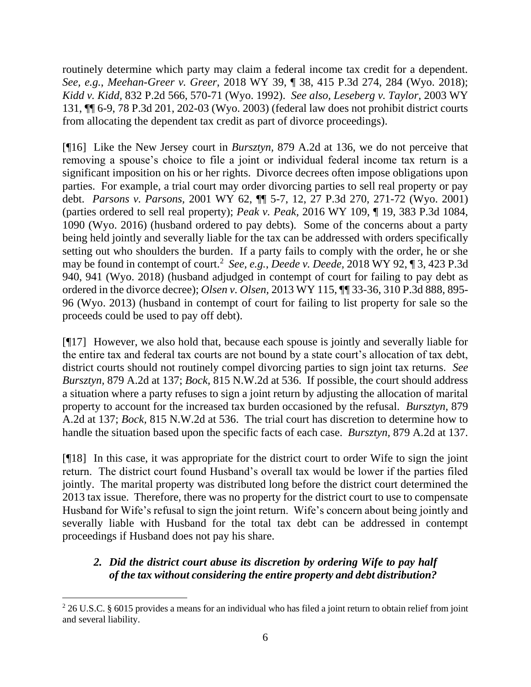routinely determine which party may claim a federal income tax credit for a dependent. *See, e.g.*, *Meehan-Greer v. Greer,* 2018 WY 39, ¶ 38, 415 P.3d 274, 284 (Wyo. 2018); *Kidd v. Kidd,* 832 P.2d 566, 570-71 (Wyo. 1992). *See also, Leseberg v. Taylor,* 2003 WY 131, ¶¶ 6-9, 78 P.3d 201, 202-03 (Wyo. 2003) (federal law does not prohibit district courts from allocating the dependent tax credit as part of divorce proceedings).

[¶16] Like the New Jersey court in *Bursztyn,* 879 A.2d at 136, we do not perceive that removing a spouse's choice to file a joint or individual federal income tax return is a significant imposition on his or her rights. Divorce decrees often impose obligations upon parties. For example, a trial court may order divorcing parties to sell real property or pay debt. *Parsons v. Parsons,* 2001 WY 62, ¶¶ 5-7, 12, 27 P.3d 270, 271-72 (Wyo. 2001) (parties ordered to sell real property); *Peak v. Peak,* 2016 WY 109, ¶ 19, 383 P.3d 1084, 1090 (Wyo. 2016) (husband ordered to pay debts). Some of the concerns about a party being held jointly and severally liable for the tax can be addressed with orders specifically setting out who shoulders the burden. If a party fails to comply with the order, he or she may be found in contempt of court.<sup>2</sup> *See, e.g.*, *Deede v. Deede,* 2018 WY 92, ¶ 3, 423 P.3d 940, 941 (Wyo. 2018) (husband adjudged in contempt of court for failing to pay debt as ordered in the divorce decree); *Olsen v. Olsen,* 2013 WY 115, ¶¶ 33-36, 310 P.3d 888, 895- 96 (Wyo. 2013) (husband in contempt of court for failing to list property for sale so the proceeds could be used to pay off debt).

[¶17] However, we also hold that, because each spouse is jointly and severally liable for the entire tax and federal tax courts are not bound by a state court's allocation of tax debt, district courts should not routinely compel divorcing parties to sign joint tax returns. *See Bursztyn,* 879 A.2d at 137; *Bock,* 815 N.W.2d at 536. If possible, the court should address a situation where a party refuses to sign a joint return by adjusting the allocation of marital property to account for the increased tax burden occasioned by the refusal. *Bursztyn,* 879 A.2d at 137; *Bock,* 815 N.W.2d at 536. The trial court has discretion to determine how to handle the situation based upon the specific facts of each case. *Bursztyn,* 879 A.2d at 137*.* 

[¶18] In this case, it was appropriate for the district court to order Wife to sign the joint return. The district court found Husband's overall tax would be lower if the parties filed jointly. The marital property was distributed long before the district court determined the 2013 tax issue. Therefore, there was no property for the district court to use to compensate Husband for Wife's refusal to sign the joint return. Wife's concern about being jointly and severally liable with Husband for the total tax debt can be addressed in contempt proceedings if Husband does not pay his share.

# *2. Did the district court abuse its discretion by ordering Wife to pay half of the tax without considering the entire property and debt distribution?*

<sup>&</sup>lt;sup>2</sup> 26 U.S.C. § 6015 provides a means for an individual who has filed a joint return to obtain relief from joint and several liability.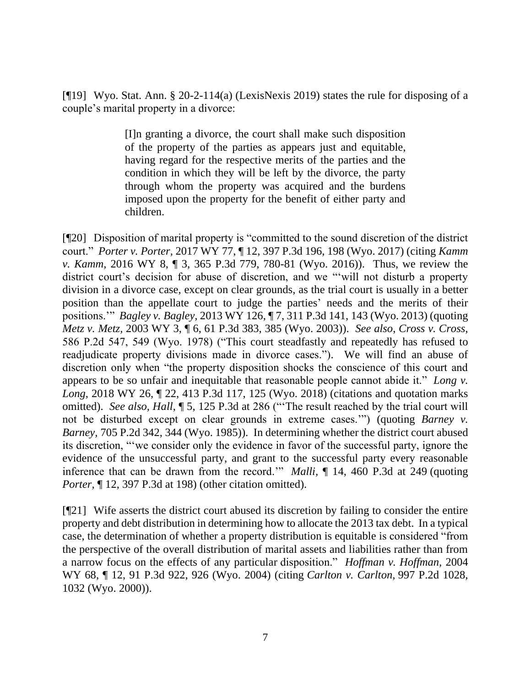[¶19] Wyo. Stat. Ann. § 20-2-114(a) (LexisNexis 2019) states the rule for disposing of a couple's marital property in a divorce:

> [I]n granting a divorce, the court shall make such disposition of the property of the parties as appears just and equitable, having regard for the respective merits of the parties and the condition in which they will be left by the divorce, the party through whom the property was acquired and the burdens imposed upon the property for the benefit of either party and children.

[¶20] Disposition of marital property is "committed to the sound discretion of the district court." *Porter v. Porter,* 2017 WY 77, ¶ 12, 397 P.3d 196, 198 (Wyo. 2017) (citing *Kamm v. Kamm,* 2016 WY 8, ¶ 3, 365 P.3d 779, 780-81 (Wyo. 2016)). Thus, we review the district court's decision for abuse of discretion, and we "'will not disturb a property division in a divorce case, except on clear grounds, as the trial court is usually in a better position than the appellate court to judge the parties' needs and the merits of their positions.'" *Bagley v. Bagley,* 2013 WY 126, ¶ 7, 311 P.3d 141, 143 (Wyo. 2013) (quoting *Metz v. Metz,* 2003 WY 3, ¶ 6, 61 P.3d 383, 385 (Wyo. 2003)). *See also*, *Cross v. Cross,*  586 P.2d 547, 549 (Wyo. 1978) ("This court steadfastly and repeatedly has refused to readjudicate property divisions made in divorce cases."). We will find an abuse of discretion only when "the property disposition shocks the conscience of this court and appears to be so unfair and inequitable that reasonable people cannot abide it." *[Long v.](https://1.next.westlaw.com/Link/Document/FullText?findType=Y&serNum=2043991278&pubNum=0004645&originatingDoc=Ibf1578d06e3c11eab9598d2db129301e&refType=RP&fi=co_pp_sp_4645_125&originationContext=document&transitionType=DocumentItem&contextData=(sc.Search)#co_pp_sp_4645_125)  Long*[, 2018 WY 26, ¶ 22, 413 P.3d 117, 125 \(Wyo. 2018\)](https://1.next.westlaw.com/Link/Document/FullText?findType=Y&serNum=2043991278&pubNum=0004645&originatingDoc=Ibf1578d06e3c11eab9598d2db129301e&refType=RP&fi=co_pp_sp_4645_125&originationContext=document&transitionType=DocumentItem&contextData=(sc.Search)#co_pp_sp_4645_125) (citations and quotation marks omitted). *See also, Hall*, ¶ 5, 125 P.3d at 286 ("'The result reached by the trial court will not be disturbed except on clear grounds in extreme cases.'") (quoting *[Barney v.](https://1.next.westlaw.com/Link/Document/FullText?findType=Y&serNum=1985145312&pubNum=0000661&originatingDoc=I0bdc4760794911daa20eccddde63d628&refType=RP&fi=co_pp_sp_661_344&originationContext=document&transitionType=DocumentItem&contextData=(sc.Search)#co_pp_sp_661_344)  Barney,* [705 P.2d 342, 344 \(Wyo. 1985\)\)](https://1.next.westlaw.com/Link/Document/FullText?findType=Y&serNum=1985145312&pubNum=0000661&originatingDoc=I0bdc4760794911daa20eccddde63d628&refType=RP&fi=co_pp_sp_661_344&originationContext=document&transitionType=DocumentItem&contextData=(sc.Search)#co_pp_sp_661_344). In determining whether the district court abused its discretion, "'we consider only the evidence in favor of the successful party, ignore the evidence of the unsuccessful party, and grant to the successful party every reasonable inference that can be drawn from the record.'" *Malli,* ¶ 14, 460 P.3d at 249 (quoting *Porter,* ¶ 12, 397 P.3d at 198) (other citation omitted).

[¶21] Wife asserts the district court abused its discretion by failing to consider the entire property and debt distribution in determining how to allocate the 2013 tax debt. In a typical case, the determination of whether a property distribution is equitable is considered "from the perspective of the overall distribution of marital assets and liabilities rather than from a narrow focus on the effects of any particular disposition." *Hoffman v. Hoffman,* 2004 WY 68, ¶ 12, 91 P.3d 922, 926 (Wyo. 2004) (citing *[Carlton v. Carlton,](https://1.next.westlaw.com/Link/Document/FullText?findType=Y&serNum=2000064704&pubNum=0000661&originatingDoc=I0213ef4df79c11d983e7e9deff98dc6f&refType=RP&fi=co_pp_sp_661_1032&originationContext=document&transitionType=DocumentItem&contextData=(sc.Search)#co_pp_sp_661_1032)* 997 P.2d 1028, [1032](https://1.next.westlaw.com/Link/Document/FullText?findType=Y&serNum=2000064704&pubNum=0000661&originatingDoc=I0213ef4df79c11d983e7e9deff98dc6f&refType=RP&fi=co_pp_sp_661_1032&originationContext=document&transitionType=DocumentItem&contextData=(sc.Search)#co_pp_sp_661_1032) (Wyo. 2000)).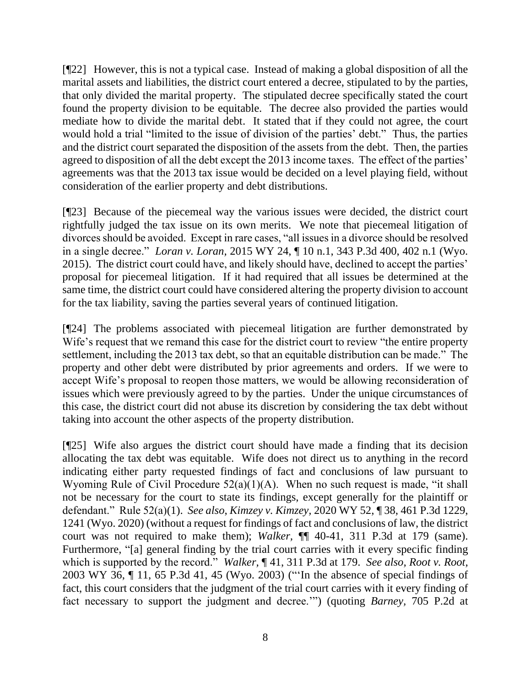[¶22] However, this is not a typical case. Instead of making a global disposition of all the marital assets and liabilities, the district court entered a decree, stipulated to by the parties, that only divided the marital property. The stipulated decree specifically stated the court found the property division to be equitable. The decree also provided the parties would mediate how to divide the marital debt. It stated that if they could not agree, the court would hold a trial "limited to the issue of division of the parties' debt." Thus, the parties and the district court separated the disposition of the assets from the debt. Then, the parties agreed to disposition of all the debt except the 2013 income taxes. The effect of the parties' agreements was that the 2013 tax issue would be decided on a level playing field, without consideration of the earlier property and debt distributions.

[¶23] Because of the piecemeal way the various issues were decided, the district court rightfully judged the tax issue on its own merits. We note that piecemeal litigation of divorces should be avoided. Except in rare cases, "all issues in a divorce should be resolved in a single decree." *Loran v. Loran,* 2015 WY 24, ¶ 10 n.1, 343 P.3d 400, 402 n.1 (Wyo. 2015). The district court could have, and likely should have, declined to accept the parties' proposal for piecemeal litigation. If it had required that all issues be determined at the same time, the district court could have considered altering the property division to account for the tax liability, saving the parties several years of continued litigation.

[¶24] The problems associated with piecemeal litigation are further demonstrated by Wife's request that we remand this case for the district court to review "the entire property settlement, including the 2013 tax debt, so that an equitable distribution can be made." The property and other debt were distributed by prior agreements and orders. If we were to accept Wife's proposal to reopen those matters, we would be allowing reconsideration of issues which were previously agreed to by the parties. Under the unique circumstances of this case, the district court did not abuse its discretion by considering the tax debt without taking into account the other aspects of the property distribution.

[¶25] Wife also argues the district court should have made a finding that its decision allocating the tax debt was equitable. Wife does not direct us to anything in the record indicating either party requested findings of fact and conclusions of law pursuant to Wyoming Rule of Civil Procedure 52(a)(1)(A). When no such request is made, "it shall not be necessary for the court to state its findings, except generally for the plaintiff or defendant." Rule 52(a)(1). *See also*, *Kimzey v. Kimzey,* 2020 WY 52, ¶ 38, 461 P.3d 1229, 1241 (Wyo. 2020) (without a request for findings of fact and conclusions of law, the district court was not required to make them); *Walker,* ¶¶ 40-41, 311 P.3d at 179 (same). Furthermore, "[a] general finding by the trial court carries with it every specific finding which is supported by the record." *Walker,* ¶ 41, 311 P.3d at 179. *See also, Root v. Root,* 2003 WY 36, ¶ 11, 65 P.3d 41, 45 (Wyo. 2003) ("'In the absence of special findings of fact, this court considers that the judgment of the trial court carries with it every finding of fact necessary to support the judgment and decree.'") (quoting *Barney,* 705 P.2d at